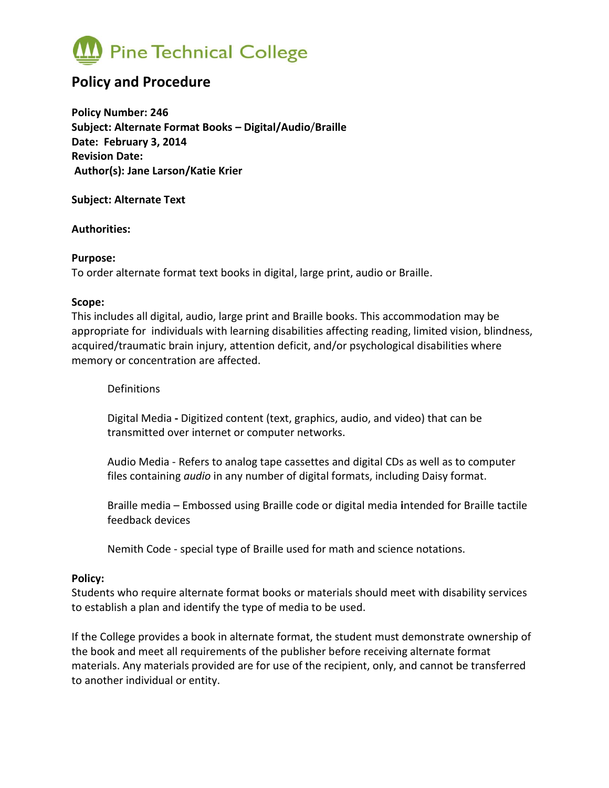

# **Policy and Procedure**

**Policy Number: 246 Subject: Alternate Format Books – Digital/Audio**/**Braille Date: February 3, 2014 Revision Date: Author(s): Jane Larson/Katie Krier**

**Subject: Alternate Text**

**Authorities:** 

#### **Purpose:**

To order alternate format text books in digital, large print, audio or Braille.

#### **Scope:**

This includes all digital, audio, large print and Braille books. This accommodation may be appropriate for individuals with learning disabilities affecting reading, limited vision, blindness, acquired/traumatic brain injury, attention deficit, and/or psychological disabilities where memory or concentration are affected.

**Definitions** 

Digital Media **-** Digitized content (text, graphics, audio, and video) that can be transmitted over internet or computer networks.

Audio Media - Refers to analog tape cassettes and digital CDs as well as to computer files containing *audio* in any number of digital formats, including Daisy format.

Braille media – Embossed using Braille code or digital media **i**ntended for Braille tactile feedback devices

Nemith Code - special type of Braille used for math and science notations.

# **Policy:**

Students who require alternate format books or materials should meet with disability services to establish a plan and identify the type of media to be used.

If the College provides a book in alternate format, the student must demonstrate ownership of the book and meet all requirements of the publisher before receiving alternate format materials. Any materials provided are for use of the recipient, only, and cannot be transferred to another individual or entity.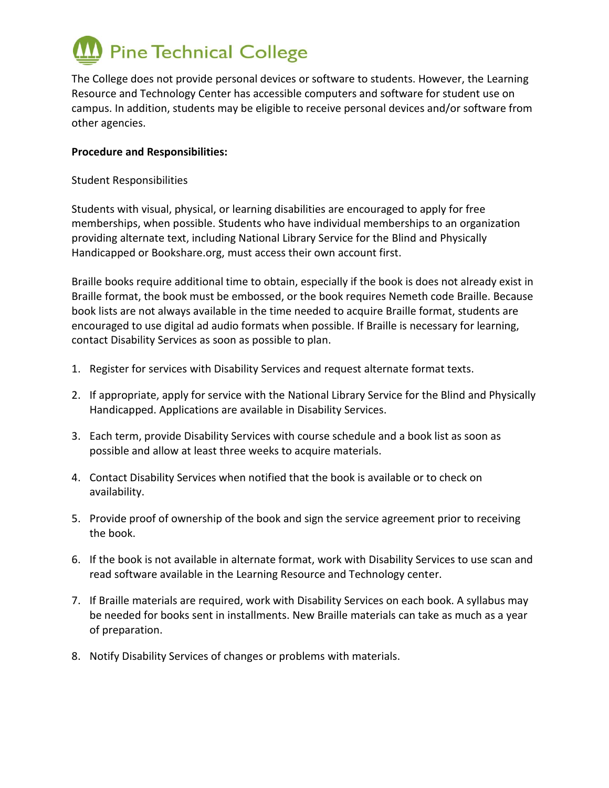

The College does not provide personal devices or software to students. However, the Learning Resource and Technology Center has accessible computers and software for student use on campus. In addition, students may be eligible to receive personal devices and/or software from other agencies.

### **Procedure and Responsibilities:**

Student Responsibilities

Students with visual, physical, or learning disabilities are encouraged to apply for free memberships, when possible. Students who have individual memberships to an organization providing alternate text, including National Library Service for the Blind and Physically Handicapped or Bookshare.org, must access their own account first.

Braille books require additional time to obtain, especially if the book is does not already exist in Braille format, the book must be embossed, or the book requires Nemeth code Braille. Because book lists are not always available in the time needed to acquire Braille format, students are encouraged to use digital ad audio formats when possible. If Braille is necessary for learning, contact Disability Services as soon as possible to plan.

- 1. Register for services with Disability Services and request alternate format texts.
- 2. If appropriate, apply for service with the National Library Service for the Blind and Physically Handicapped. Applications are available in Disability Services.
- 3. Each term, provide Disability Services with course schedule and a book list as soon as possible and allow at least three weeks to acquire materials.
- 4. Contact Disability Services when notified that the book is available or to check on availability.
- 5. Provide proof of ownership of the book and sign the service agreement prior to receiving the book.
- 6. If the book is not available in alternate format, work with Disability Services to use scan and read software available in the Learning Resource and Technology center.
- 7. If Braille materials are required, work with Disability Services on each book. A syllabus may be needed for books sent in installments. New Braille materials can take as much as a year of preparation.
- 8. Notify Disability Services of changes or problems with materials.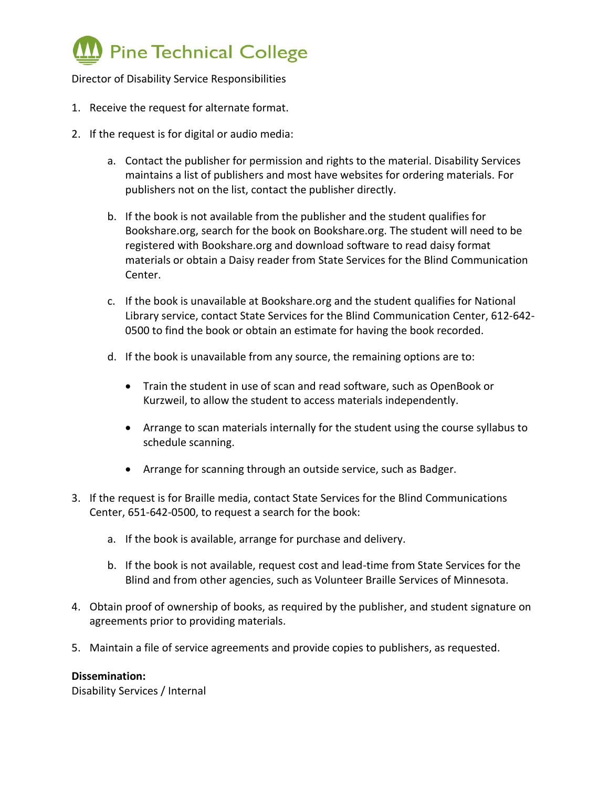

Director of Disability Service Responsibilities

- 1. Receive the request for alternate format.
- 2. If the request is for digital or audio media:
	- a. Contact the publisher for permission and rights to the material. Disability Services maintains a list of publishers and most have websites for ordering materials. For publishers not on the list, contact the publisher directly.
	- b. If the book is not available from the publisher and the student qualifies for Bookshare.org, search for the book on Bookshare.org. The student will need to be registered with Bookshare.org and download software to read daisy format materials or obtain a Daisy reader from State Services for the Blind Communication Center.
	- c. If the book is unavailable at Bookshare.org and the student qualifies for National Library service, contact State Services for the Blind Communication Center, 612-642- 0500 to find the book or obtain an estimate for having the book recorded.
	- d. If the book is unavailable from any source, the remaining options are to:
		- Train the student in use of scan and read software, such as OpenBook or Kurzweil, to allow the student to access materials independently.
		- Arrange to scan materials internally for the student using the course syllabus to schedule scanning.
		- Arrange for scanning through an outside service, such as Badger.
- 3. If the request is for Braille media, contact State Services for the Blind Communications Center, 651-642-0500, to request a search for the book:
	- a. If the book is available, arrange for purchase and delivery.
	- b. If the book is not available, request cost and lead-time from State Services for the Blind and from other agencies, such as Volunteer Braille Services of Minnesota.
- 4. Obtain proof of ownership of books, as required by the publisher, and student signature on agreements prior to providing materials.
- 5. Maintain a file of service agreements and provide copies to publishers, as requested.

# **Dissemination:**

Disability Services / Internal